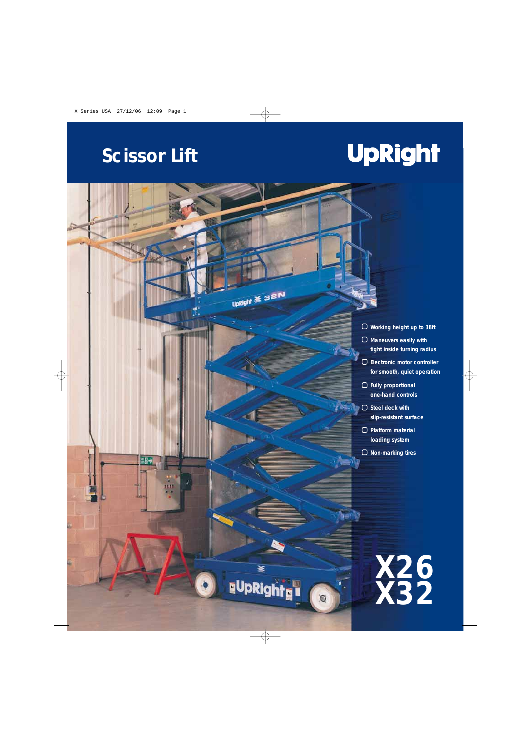## **Scissor Lift**

喜聞す

UpRight \* 32N

峯

**uUpRight<sub>u</sub>u** 

## **UpRight**

- **Working height up to 38ft**
- **Maneuvers easily with tight inside turning radius**
- **Electronic motor controller for smooth, quiet operation**
- **Fully proportional one-hand controls**
- **Steel deck with slip-resistant surface**
	- **Platform material loading system**
	- **Non-marking tires**

**X26 X32**